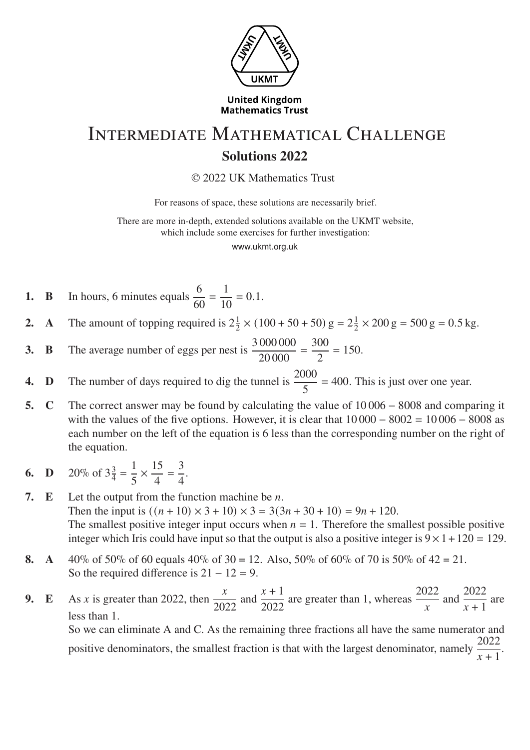

**United Kingdom Mathematics Trust**

## Intermediate Mathematical Challenge **Solutions 2022**

© 2022 UK Mathematics Trust

For reasons of space, these solutions are necessarily brief.

There are more in-depth, extended solutions available on the UKMT website, which include some exercises for further investigation:

www.ukmt.org.uk

- **1. B** In hours, 6 minutes equals  $\frac{6}{6}$ 60 = 1 10  $= 0.1.$
- **2. A** The amount of topping required is  $2\frac{1}{2}$  $\frac{1}{2} \times (100 + 50 + 50) \text{ g} = 2\frac{1}{2}$  $\frac{1}{2} \times 200 \text{ g} = 500 \text{ g} = 0.5 \text{ kg}.$
- **3. B** The average number of eggs per nest is  $\frac{3000000}{200000}$ 20 000 = 300 2  $= 150.$
- **4. D** The number of days required to dig the tunnel is  $\frac{2000}{5}$ 5  $= 400$ . This is just over one year.
- **5. C** The correct answer may be found by calculating the value of 10 006 − 8008 and comparing it with the values of the five options. However, it is clear that  $10\,000 - 8002 = 10\,006 - 8008$  as each number on the left of the equation is 6 less than the corresponding number on the right of the equation.
- **6. D** 20\% of  $3\frac{3}{4}$  $\frac{3}{4}$  = 1 5  $\times \frac{15}{4}$ 4 = 3 4 .

**7. E** Let the output from the function machine be  $n$ . Then the input is  $((n+10) \times 3 + 10) \times 3 = 3(3n+30+10) = 9n+120$ . The smallest positive integer input occurs when  $n = 1$ . Therefore the smallest possible positive integer which Iris could have input so that the output is also a positive integer is  $9 \times 1 + 120 = 129$ .

- **8. A**  $40\%$  of 50% of 60 equals  $40\%$  of 30 = 12. Also, 50% of 60% of 70 is 50% of 42 = 21. So the required difference is  $21 - 12 = 9$ .
- **9. E** As x is greater than 2022, then  $\frac{x}{200}$ 2022 and  $\frac{x+1}{2000}$ 2022 are greater than 1, whereas  $\frac{2022}{x}$  and  $\frac{2022}{x+1}$  $\frac{2822}{x+1}$  are less than 1. So we can eliminate A and C. As the remaining three fractions all have the same numerator and positive denominators, the smallest fraction is that with the largest denominator, namely  $\frac{2022}{\cdots}$  $\frac{2822}{x+1}$ .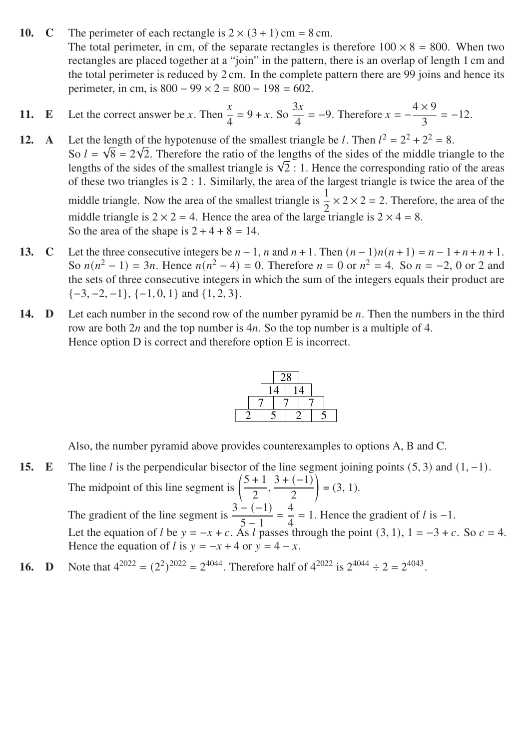**10. C** The perimeter of each rectangle is  $2 \times (3 + 1)$  cm = 8 cm. The total perimeter, in cm, of the separate rectangles is therefore  $100 \times 8 = 800$ . When two rectangles are placed together at a "join" in the pattern, there is an overlap of length 1 cm and the total perimeter is reduced by 2 cm. In the complete pattern there are 99 joins and hence its perimeter, in cm, is  $800 - 99 \times 2 = 800 - 198 = 602$ .

11. **E** Let the correct answer be *x*. Then 
$$
\frac{x}{4} = 9 + x
$$
. So  $\frac{3x}{4} = -9$ . Therefore  $x = -\frac{4 \times 9}{3} = -12$ .

**12. A** Let the length of the hypotenuse of the smallest triangle be *l*. Then  $l^2 = 2^2 + 2^2 = 8$ . So  $l = \sqrt{8} = 2\sqrt{2}$ . Therefore the ratio of the lengths of the sides of the middle triangle to the So  $\ell = \sqrt{8} = 2\sqrt{2}$ . I herefore the ratio of the lengths of the sides of the middle triangle to the lengths of the sides of the smallest triangle is  $\sqrt{2}$  : 1. Hence the corresponding ratio of the areas of these two triangles is 2 : 1. Similarly, the area of the largest triangle is twice the area of the middle triangle. Now the area of the smallest triangle is  $\frac{1}{2}$ 2  $\times$  2  $\times$  2 = 2. Therefore, the area of the middle triangle is  $2 \times 2 = 4$ . Hence the area of the large triangle is  $2 \times 4 = 8$ . So the area of the shape is  $2 + 4 + 8 = 14$ .

- **13. C** Let the three consecutive integers be  $n-1$ ,  $n$  and  $n+1$ . Then  $(n-1)n(n+1) = n-1+n+n+1$ . So  $n(n^2 - 1) = 3n$ . Hence  $n(n^2 - 4) = 0$ . Therefore  $n = 0$  or  $n^2 = 4$ . So  $n = -2$ , 0 or 2 and the sets of three consecutive integers in which the sum of the integers equals their product are  $\{-3, -2, -1\}, \{-1, 0, 1\}$  and  $\{1, 2, 3\}.$
- **14. D** Let each number in the second row of the number pyramid be  $n$ . Then the numbers in the third row are both  $2n$  and the top number is  $4n$ . So the top number is a multiple of 4. Hence option D is correct and therefore option E is incorrect.



Also, the number pyramid above provides counterexamples to options A, B and C.

- **15. E** The line *l* is the perpendicular bisector of the line segment joining points  $(5, 3)$  and  $(1, -1)$ . The midpoint of this line segment is  $\left(\frac{5+1}{2}\right)$ 2  $\frac{3 + (-1)}{2}$ 2  $\backslash$  $= (3, 1).$ The gradient of the line segment is  $\frac{3-(-1)}{5-1}$  $5 - 1$ = 4 4  $= 1$ . Hence the gradient of  $l$  is  $-1$ . Let the equation of *l* be  $y = -x + c$ . As *l* passes through the point (3, 1), 1 = −3 + c. So  $c = 4$ . Hence the equation of *l* is  $y = -x + 4$  or  $y = 4 - x$ .
- **16. D** Note that  $4^{2022} = (2^2)^{2022} = 2^{4044}$ . Therefore half of  $4^{2022}$  is  $2^{4044} \div 2 = 2^{4043}$ .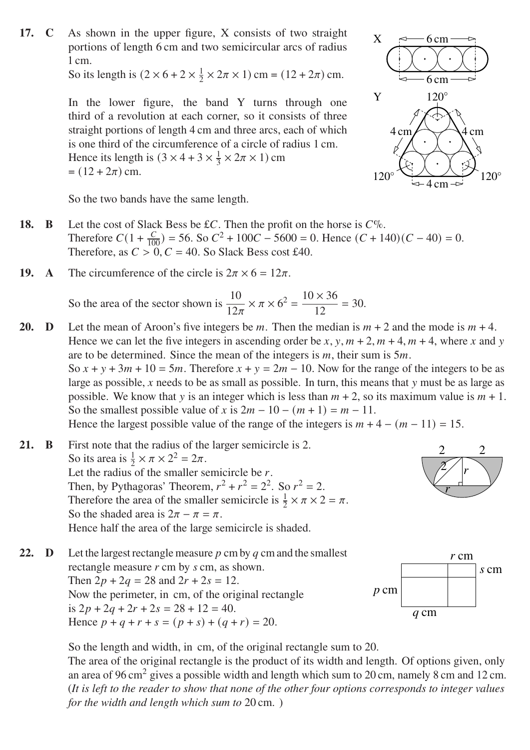**17. C** As shown in the upper figure, X consists of two straight portions of length 6 cm and two semicircular arcs of radius 1 cm.

So its length is  $(2 \times 6 + 2 \times \frac{1}{2})$  $\frac{1}{2} \times 2\pi \times 1$  cm =  $(12 + 2\pi)$  cm.

In the lower figure, the band Y turns through one third of a revolution at each corner, so it consists of three straight portions of length 4 cm and three arcs, each of which is one third of the circumference of a circle of radius 1 cm. Hence its length is  $(3 \times 4 + 3 \times \frac{1}{3})$  $\frac{1}{3} \times 2\pi \times 1$ ) cm  $= (12 + 2\pi)$  cm.



 $\overline{2}$ 

 $\overline{\mathbf{r}}$ 

2 2

 $\boldsymbol{r}$ 

So the two bands have the same length.

- **18. B** Let the cost of Slack Bess be £ $C$ . Then the profit on the horse is  $C\%$ . Therefore  $C(1 + \frac{C}{100}) = 56$ . So  $C^2 + 100C - 5600 = 0$ . Hence  $(C + 140)(C - 40) = 0$ . Therefore, as  $C > 0$ ,  $C = 40$ . So Slack Bess cost £40.
- **19. A** The circumference of the circle is  $2\pi \times 6 = 12\pi$ .

So the area of the sector shown is  $\frac{10}{120}$  $\overline{12\pi}$  $\times \pi \times 6^2 = \frac{10 \times 36}{12}$ 12  $= 30.$ 

**20. D** Let the mean of Aroon's five integers be m. Then the median is  $m + 2$  and the mode is  $m + 4$ . Hence we can let the five integers in ascending order be x, y,  $m + 2$ ,  $m + 4$ ,  $m + 4$ , where x and y are to be determined. Since the mean of the integers is  $m$ , their sum is  $5m$ . So  $x + y + 3m + 10 = 5m$ . Therefore  $x + y = 2m - 10$ . Now for the range of the integers to be as large as possible,  $x$  needs to be as small as possible. In turn, this means that  $y$  must be as large as possible. We know that y is an integer which is less than  $m + 2$ , so its maximum value is  $m + 1$ . So the smallest possible value of x is  $2m - 10 - (m + 1) = m - 11$ . Hence the largest possible value of the range of the integers is  $m + 4 - (m - 11) = 15$ .

**21. B** First note that the radius of the larger semicircle is 2. So its area is  $\frac{1}{2} \times \pi \times 2^2 = 2\pi$ . Let the radius of the smaller semicircle be  $r$ . Then, by Pythagoras' Theorem,  $r^2 + r^2 = 2^2$ . So  $r^2 = 2$ . Therefore the area of the smaller semicircle is  $\frac{1}{2} \times \pi \times 2 = \pi$ . So the shaded area is  $2\pi - \pi = \pi$ . Hence half the area of the large semicircle is shaded.

**22. D** Let the largest rectangle measure  $p$  cm by  $q$  cm and the smallest rectangle measure  $r$  cm by  $s$  cm, as shown. Then  $2p + 2q = 28$  and  $2r + 2s = 12$ . Now the perimeter, in cm, of the original rectangle is  $2p + 2q + 2r + 2s = 28 + 12 = 40$ . Hence  $p + q + r + s = (p + s) + (q + r) = 20$ .  $r$  cm s cm  $p$  cm  $q$  cm

So the length and width, in cm, of the original rectangle sum to 20.

The area of the original rectangle is the product of its width and length. Of options given, only an area of 96 cm<sup>2</sup> gives a possible width and length which sum to 20 cm, namely 8 cm and 12 cm. (*It is left to the reader to show that none of the other four options corresponds to integer values for the width and length which sum to* 20 cm. )